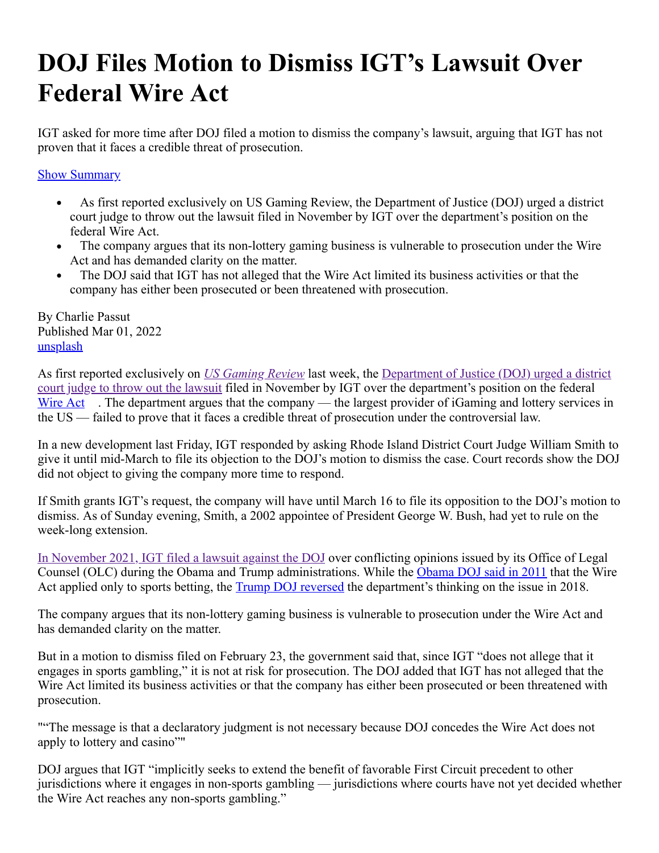## **DOJ Files Motion to Dismiss IGT's Lawsuit Over Federal Wire Act**

IGT asked for more time after DOJ filed a motion to dismiss the company's lawsuit, arguing that IGT has not proven that it faces a credible threat of prosecution.

**Show Summary** 

- As first reported exclusively on US Gaming Review, the Department of Justice (DOJ) urged a district  $\bullet$  . <br> <br> <br> <br> <br> <br> <br> <br> court judge to throw out the lawsuit filed in November by IGT over the department's position on the federal Wire Act.
- The company argues that its non-lottery gaming business is vulnerable to prosecution under the Wire  $\bullet$ Act and has demanded clarity on the matter.
- The DOJ said that IGT has not alleged that the Wire Act limited its business activities or that the company has either been prosecuted or been threatened with prosecution.

By Charlie Passut Published Mar 01, 2022 [unsplash](http://unsplash.com/)

As first reported exclusively on *[US Gaming Review](https://usgamingreview.com/)* last week, the Department of Justice (DOJ) urged a district [court judge to throw out the lawsuit filed in November by IGT over the department's position on the federal](https://usgamingreview.com/news/217229-doj-files-motion-dismiss-igt-wire-act-case/) [Wire Act](https://pokerindustrypro.com/news/tags/wire-act) . The department argues that the company — the largest provider of iGaming and lottery services in the US — failed to prove that it faces a credible threat of prosecution under the controversial law.

In a new development last Friday, IGT responded by asking Rhode Island District Court Judge William Smith to give it until mid-March to file its objection to the DOJ's motion to dismiss the case. Court records show the DOJ did not object to giving the company more time to respond.

If Smith grants IGT's request, the company will have until March 16 to file its opposition to the DOJ's motion to dismiss. As of Sunday evening, Smith, a 2002 appointee of President George W. Bush, had yet to rule on the week-long extension.

[In November 2021, IGT filed a lawsuit against the DOJ](https://usgamingreview.com/news/216754-igt-files-suit-against-biden-doj-demands-clarity/) over conflicting opinions issued by its Office of Legal Counsel (OLC) during the Obama and Trump administrations. While the [Obama DOJ said in 2011](https://pokerfuse.com/news/law-and-regulation/department-justice-shifts-stance-wire-act-replies-reidkyl-letter/) that the Wire Act applied only to sports betting, the [Trump DOJ reversed](https://pokerindustrypro.com/news/article/210326-new-doj-opinion-wire-act-not-limited-sports-betting) the department's thinking on the issue in 2018.

The company argues that its non-lottery gaming business is vulnerable to prosecution under the Wire Act and has demanded clarity on the matter.

But in a motion to dismiss filed on February 23, the government said that, since IGT "does not allege that it engages in sports gambling," it is not at risk for prosecution. The DOJ added that IGT has not alleged that the Wire Act limited its business activities or that the company has either been prosecuted or been threatened with prosecution.

""The message is that a declaratory judgment is not necessary because DOJ concedes the Wire Act does not apply to lottery and casino""

DOJ argues that IGT "implicitly seeks to extend the benefit of favorable First Circuit precedent to other jurisdictions where it engages in non-sports gambling — jurisdictions where courts have not yet decided whether the Wire Act reaches any non-sports gambling."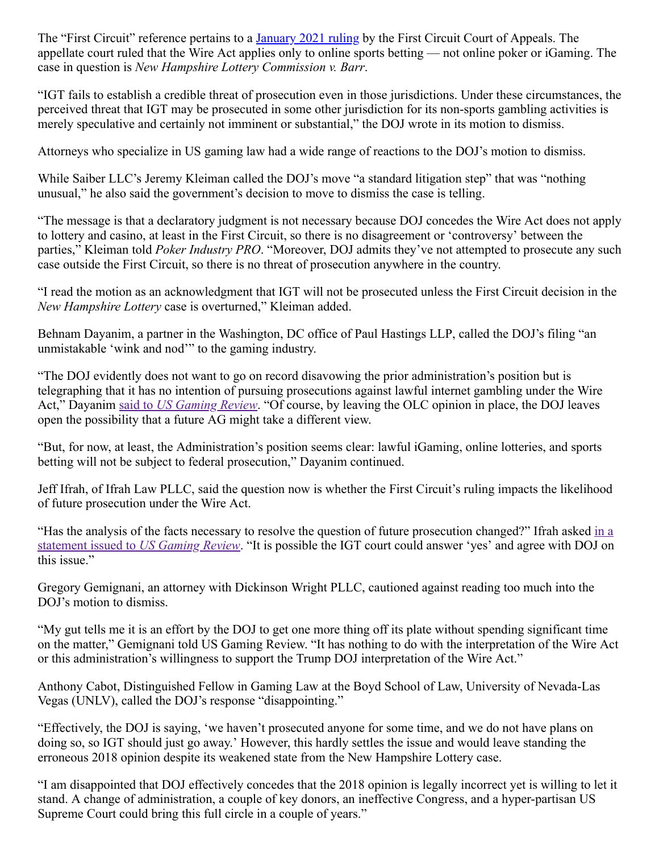The "First Circuit" reference pertains to a **January 2021 ruling** by the First Circuit Court of Appeals. The appellate court ruled that the Wire Act applies only to online sports betting — not online poker or iGaming. The case in question is *New Hampshire Lottery Commission v. Barr*.

"IGT fails to establish a credible threat of prosecution even in those jurisdictions. Under these circumstances, the perceived threat that IGT may be prosecuted in some other jurisdiction for its non-sports gambling activities is merely speculative and certainly not imminent or substantial," the DOJ wrote in its motion to dismiss.

Attorneys who specialize in US gaming law had a wide range of reactions to the DOJ's motion to dismiss.

While Saiber LLC's Jeremy Kleiman called the DOJ's move "a standard litigation step" that was "nothing unusual," he also said the government's decision to move to dismiss the case is telling.

"The message is that a declaratory judgment is not necessary because DOJ concedes the Wire Act does not apply to lottery and casino, at least in the First Circuit, so there is no disagreement or 'controversy' between the parties," Kleiman told *Poker Industry PRO*. "Moreover, DOJ admits they've not attempted to prosecute any such case outside the First Circuit, so there is no threat of prosecution anywhere in the country.

"I read the motion as an acknowledgment that IGT will not be prosecuted unless the First Circuit decision in the *New Hampshire Lottery* case is overturned," Kleiman added.

Behnam Dayanim, a partner in the Washington, DC office of Paul Hastings LLP, called the DOJ's filing "an unmistakable 'wink and nod'" to the gaming industry.

"The DOJ evidently does not want to go on record disavowing the prior administration's position but is telegraphing that it has no intention of pursuing prosecutions against lawful internet gambling under the Wire Act," Dayanim said to *[US Gaming Review](https://usgamingreview.com/news/217229-doj-files-motion-dismiss-igt-wire-act-case/)*. "Of course, by leaving the OLC opinion in place, the DOJ leaves open the possibility that a future AG might take a different view.

"But, for now, at least, the Administration's position seems clear: lawful iGaming, online lotteries, and sports betting will not be subject to federal prosecution," Dayanim continued.

Jeff Ifrah, of Ifrah Law PLLC, said the question now is whether the First Circuit's ruling impacts the likelihood of future prosecution under the Wire Act.

["Has the analysis of the facts necessary to resolve the question of future prosecution changed?" Ifrah asked in a](https://usgamingreview.com/news/217229-doj-files-motion-dismiss-igt-wire-act-case/) statement issued to *US Gaming Review*. "It is possible the IGT court could answer 'yes' and agree with DOJ on this issue."

Gregory Gemignani, an attorney with Dickinson Wright PLLC, cautioned against reading too much into the DOJ's motion to dismiss.

"My gut tells me it is an effort by the DOJ to get one more thing off its plate without spending significant time on the matter," Gemignani told US Gaming Review. "It has nothing to do with the interpretation of the Wire Act or this administration's willingness to support the Trump DOJ interpretation of the Wire Act."

Anthony Cabot, Distinguished Fellow in Gaming Law at the Boyd School of Law, University of Nevada-Las Vegas (UNLV), called the DOJ's response "disappointing."

"Effectively, the DOJ is saying, 'we haven't prosecuted anyone for some time, and we do not have plans on doing so, so IGT should just go away.' However, this hardly settles the issue and would leave standing the erroneous 2018 opinion despite its weakened state from the New Hampshire Lottery case.

"I am disappointed that DOJ effectively concedes that the 2018 opinion is legally incorrect yet is willing to let it stand. A change of administration, a couple of key donors, an ineffective Congress, and a hyper-partisan US Supreme Court could bring this full circle in a couple of years."